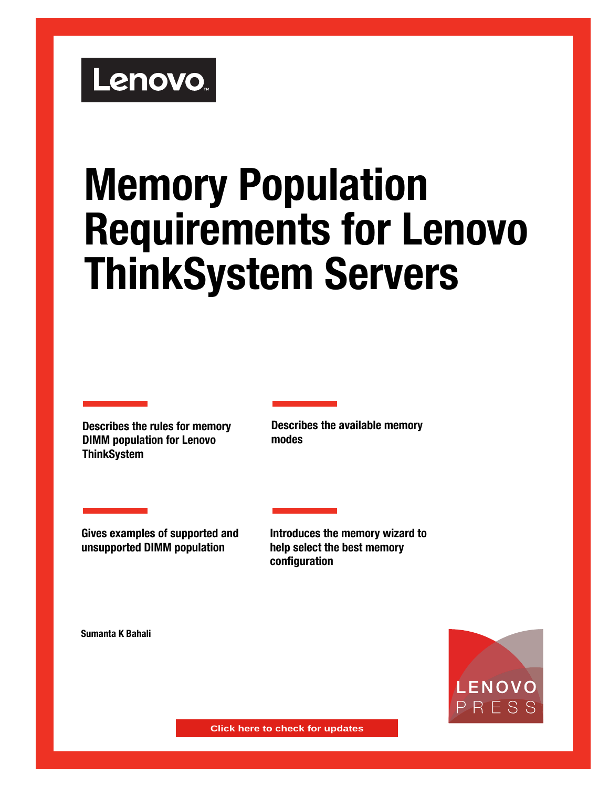# Lenovo.

# **Memory Population Requirements for Lenovo ThinkSystem Servers**

**Describes the rules for memory DIMM population for Lenovo ThinkSystem**

**Describes the available memory modes** 

**Gives examples of supported and unsupported DIMM population** 

**Introduces the memory wizard to help select the best memory configuration**

**Sumanta K Bahali**



**Click here to check for updates**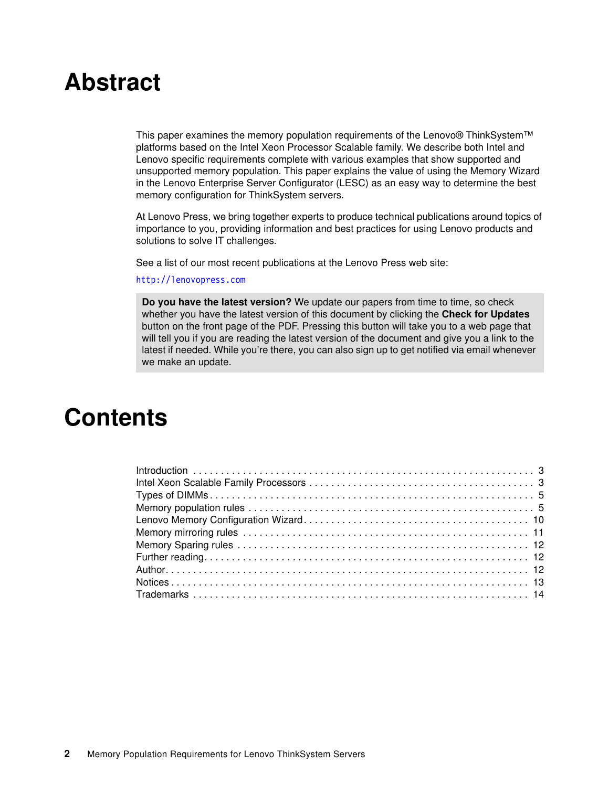# **Abstract**

This paper examines the memory population requirements of the Lenovo® ThinkSystem™ platforms based on the Intel Xeon Processor Scalable family. We describe both Intel and Lenovo specific requirements complete with various examples that show supported and unsupported memory population. This paper explains the value of using the Memory Wizard in the Lenovo Enterprise Server Configurator (LESC) as an easy way to determine the best memory configuration for ThinkSystem servers.

At Lenovo Press, we bring together experts to produce technical publications around topics of importance to you, providing information and best practices for using Lenovo products and solutions to solve IT challenges.

See a list of our most recent publications at the Lenovo Press web site:

#### <http://lenovopress.com>

**Do you have the latest version?** We update our papers from time to time, so check whether you have the latest version of this document by clicking the **Check for Updates** button on the front page of the PDF. Pressing this button will take you to a web page that will tell you if you are reading the latest version of the document and give you a link to the latest if needed. While you're there, you can also sign up to get notified via email whenever we make an update.

# **Contents**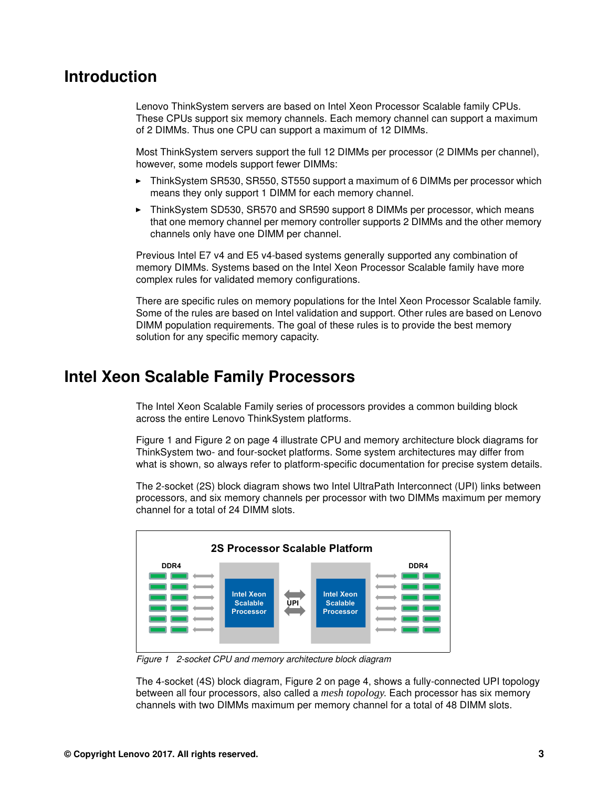## <span id="page-2-0"></span>**Introduction**

Lenovo ThinkSystem servers are based on Intel Xeon Processor Scalable family CPUs. These CPUs support six memory channels. Each memory channel can support a maximum of 2 DIMMs. Thus one CPU can support a maximum of 12 DIMMs.

Most ThinkSystem servers support the full 12 DIMMs per processor (2 DIMMs per channel), however, some models support fewer DIMMs:

- - ThinkSystem SR530, SR550, ST550 support a maximum of 6 DIMMs per processor which means they only support 1 DIMM for each memory channel.
- - ThinkSystem SD530, SR570 and SR590 support 8 DIMMs per processor, which means that one memory channel per memory controller supports 2 DIMMs and the other memory channels only have one DIMM per channel.

Previous Intel E7 v4 and E5 v4-based systems generally supported any combination of memory DIMMs. Systems based on the Intel Xeon Processor Scalable family have more complex rules for validated memory configurations.

There are specific rules on memory populations for the Intel Xeon Processor Scalable family. Some of the rules are based on Intel validation and support. Other rules are based on Lenovo DIMM population requirements. The goal of these rules is to provide the best memory solution for any specific memory capacity.

# <span id="page-2-1"></span>**Intel Xeon Scalable Family Processors**

The Intel Xeon Scalable Family series of processors provides a common building block across the entire Lenovo ThinkSystem platforms.

[Figure 1](#page-2-2) and [Figure 2 on page 4](#page-3-0) illustrate CPU and memory architecture block diagrams for ThinkSystem two- and four-socket platforms. Some system architectures may differ from what is shown, so always refer to platform-specific documentation for precise system details.

The 2-socket (2S) block diagram shows two Intel UltraPath Interconnect (UPI) links between processors, and six memory channels per processor with two DIMMs maximum per memory channel for a total of 24 DIMM slots.



<span id="page-2-2"></span>*Figure 1 2-socket CPU and memory architecture block diagram*

The 4-socket (4S) block diagram, [Figure 2 on page 4,](#page-3-0) shows a fully-connected UPI topology between all four processors, also called a *mesh topology*. Each processor has six memory channels with two DIMMs maximum per memory channel for a total of 48 DIMM slots.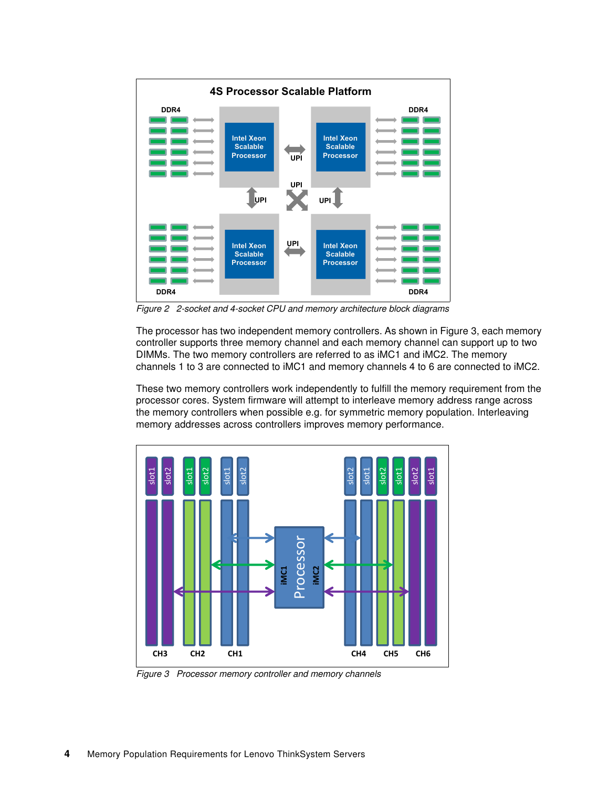

<span id="page-3-0"></span>*Figure 2 2-socket and 4-socket CPU and memory architecture block diagrams*

The processor has two independent memory controllers. As shown in [Figure 3](#page-3-1), each memory controller supports three memory channel and each memory channel can support up to two DIMMs. The two memory controllers are referred to as iMC1 and iMC2. The memory channels 1 to 3 are connected to iMC1 and memory channels 4 to 6 are connected to iMC2.

These two memory controllers work independently to fulfill the memory requirement from the processor cores. System firmware will attempt to interleave memory address range across the memory controllers when possible e.g. for symmetric memory population. Interleaving memory addresses across controllers improves memory performance.



<span id="page-3-1"></span>*Figure 3 Processor memory controller and memory channels*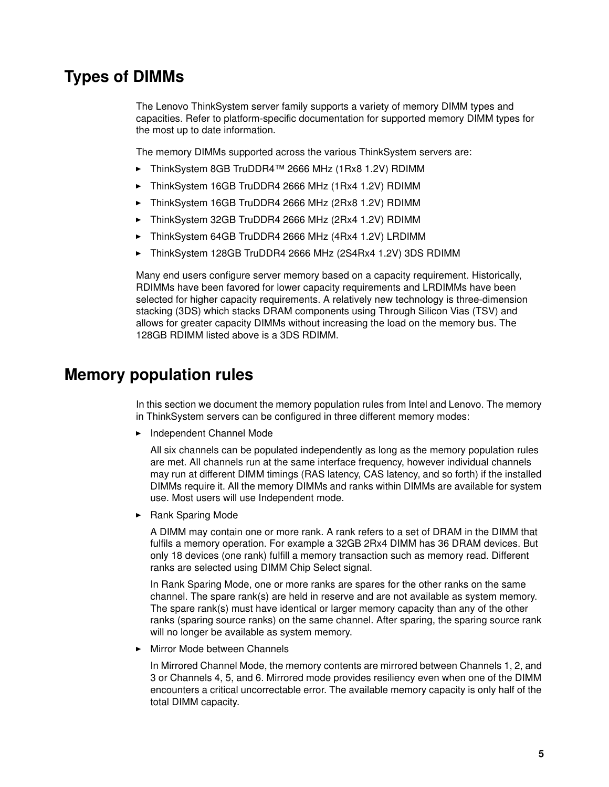# <span id="page-4-0"></span>**Types of DIMMs**

The Lenovo ThinkSystem server family supports a variety of memory DIMM types and capacities. Refer to platform-specific documentation for supported memory DIMM types for the most up to date information.

The memory DIMMs supported across the various ThinkSystem servers are:

- ThinkSystem 8GB TruDDR4™ 2666 MHz (1Rx8 1.2V) RDIMM
- ► ThinkSystem 16GB TruDDR4 2666 MHz (1Rx4 1.2V) RDIMM
- -ThinkSystem 16GB TruDDR4 2666 MHz (2Rx8 1.2V) RDIMM
- -ThinkSystem 32GB TruDDR4 2666 MHz (2Rx4 1.2V) RDIMM
- ► ThinkSystem 64GB TruDDR4 2666 MHz (4Rx4 1.2V) LRDIMM
- -ThinkSystem 128GB TruDDR4 2666 MHz (2S4Rx4 1.2V) 3DS RDIMM

Many end users configure server memory based on a capacity requirement. Historically, RDIMMs have been favored for lower capacity requirements and LRDIMMs have been selected for higher capacity requirements. A relatively new technology is three-dimension stacking (3DS) which stacks DRAM components using Through Silicon Vias (TSV) and allows for greater capacity DIMMs without increasing the load on the memory bus. The 128GB RDIMM listed above is a 3DS RDIMM.

### <span id="page-4-1"></span>**Memory population rules**

In this section we document the memory population rules from Intel and Lenovo. The memory in ThinkSystem servers can be configured in three different memory modes:

- Independent Channel Mode

All six channels can be populated independently as long as the memory population rules are met. All channels run at the same interface frequency, however individual channels may run at different DIMM timings (RAS latency, CAS latency, and so forth) if the installed DIMMs require it. All the memory DIMMs and ranks within DIMMs are available for system use. Most users will use Independent mode.

-Rank Sparing Mode

> A DIMM may contain one or more rank. A rank refers to a set of DRAM in the DIMM that fulfils a memory operation. For example a 32GB 2Rx4 DIMM has 36 DRAM devices. But only 18 devices (one rank) fulfill a memory transaction such as memory read. Different ranks are selected using DIMM Chip Select signal.

> In Rank Sparing Mode, one or more ranks are spares for the other ranks on the same channel. The spare rank(s) are held in reserve and are not available as system memory. The spare rank(s) must have identical or larger memory capacity than any of the other ranks (sparing source ranks) on the same channel. After sparing, the sparing source rank will no longer be available as system memory.

-Mirror Mode between Channels

In Mirrored Channel Mode, the memory contents are mirrored between Channels 1, 2, and 3 or Channels 4, 5, and 6. Mirrored mode provides resiliency even when one of the DIMM encounters a critical uncorrectable error. The available memory capacity is only half of the total DIMM capacity.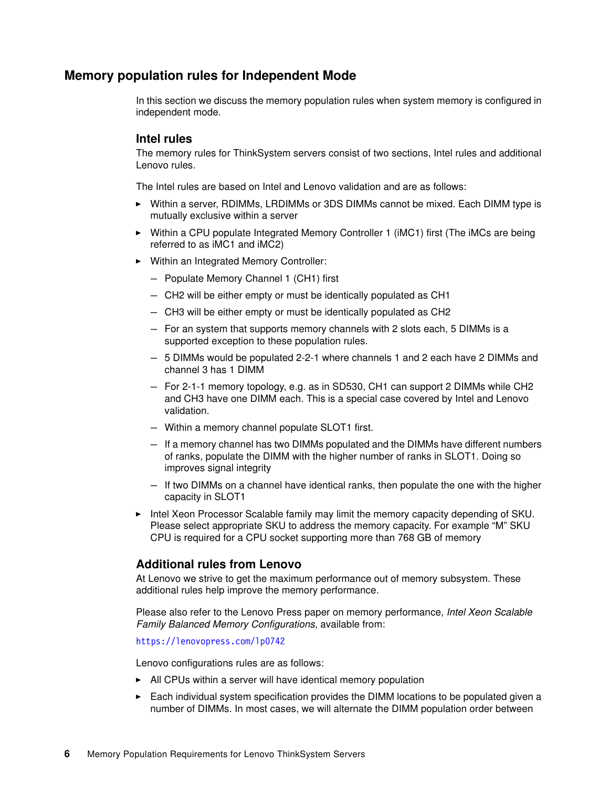#### **Memory population rules for Independent Mode**

In this section we discuss the memory population rules when system memory is configured in independent mode.

#### **Intel rules**

The memory rules for ThinkSystem servers consist of two sections, Intel rules and additional Lenovo rules.

The Intel rules are based on Intel and Lenovo validation and are as follows:

- ► Within a server, RDIMMs, LRDIMMs or 3DS DIMMs cannot be mixed. Each DIMM type is mutually exclusive within a server
- ► Within a CPU populate Integrated Memory Controller 1 (iMC1) first (The iMCs are being referred to as iMC1 and iMC2)
- Within an Integrated Memory Controller:
	- Populate Memory Channel 1 (CH1) first
	- CH2 will be either empty or must be identically populated as CH1
	- CH3 will be either empty or must be identically populated as CH2
	- For an system that supports memory channels with 2 slots each, 5 DIMMs is a supported exception to these population rules.
	- 5 DIMMs would be populated 2-2-1 where channels 1 and 2 each have 2 DIMMs and channel 3 has 1 DIMM
	- For 2-1-1 memory topology, e.g. as in SD530, CH1 can support 2 DIMMs while CH2 and CH3 have one DIMM each. This is a special case covered by Intel and Lenovo validation.
	- Within a memory channel populate SLOT1 first.
	- If a memory channel has two DIMMs populated and the DIMMs have different numbers of ranks, populate the DIMM with the higher number of ranks in SLOT1. Doing so improves signal integrity
	- If two DIMMs on a channel have identical ranks, then populate the one with the higher capacity in SLOT1
- - Intel Xeon Processor Scalable family may limit the memory capacity depending of SKU. Please select appropriate SKU to address the memory capacity. For example "M" SKU CPU is required for a CPU socket supporting more than 768 GB of memory

#### **Additional rules from Lenovo**

At Lenovo we strive to get the maximum performance out of memory subsystem. These additional rules help improve the memory performance.

Please also refer to the Lenovo Press paper on memory performance, *Intel Xeon Scalable Family Balanced Memory Configurations*, available from:

<https://lenovopress.com/lp0742>

Lenovo configurations rules are as follows:

- All CPUs within a server will have identical memory population
- ► Each individual system specification provides the DIMM locations to be populated given a number of DIMMs. In most cases, we will alternate the DIMM population order between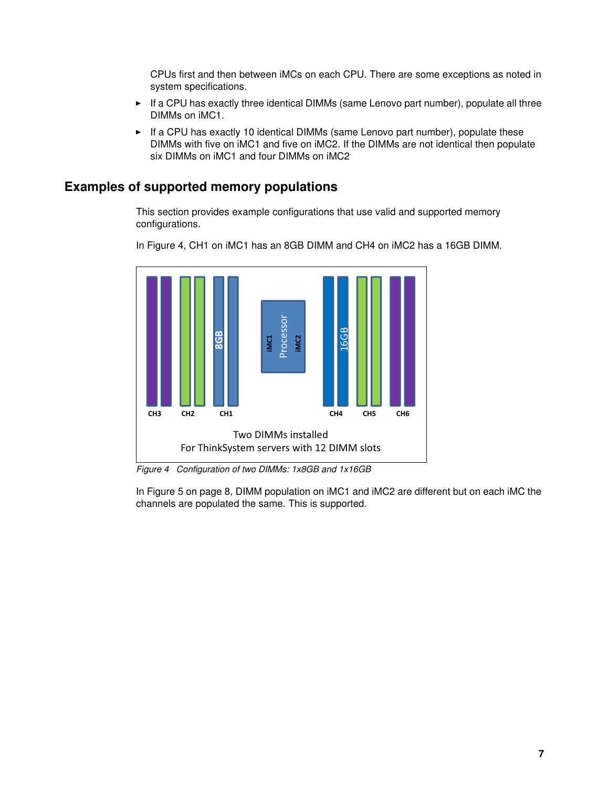CPUs first and then between iMCs on each CPU. There are some exceptions as noted in system specifications.

- ► If a CPU has exactly three identical DIMMs (same Lenovo part number), populate all three DIMMs on iMC1.
- ► If a CPU has exactly 10 identical DIMMs (same Lenovo part number), populate these DIMMs with five on iMC1 and five on iMC2. If the DIMMs are not identical then populate six DIMMs on iMC1 and four DIMMs on iMC2

#### **Examples of supported memory populations**

This section provides example configurations that use valid and supported memory configurations.



In [Figure 4,](#page-6-0) CH1 on iMC1 has an 8GB DIMM and CH4 on iMC2 has a 16GB DIMM.

<span id="page-6-0"></span>*Figure 4 Configuration of two DIMMs: 1x8GB and 1x16GB*

In [Figure 5 on page 8](#page-7-0), DIMM population on iMC1 and iMC2 are different but on each iMC the channels are populated the same. This is supported.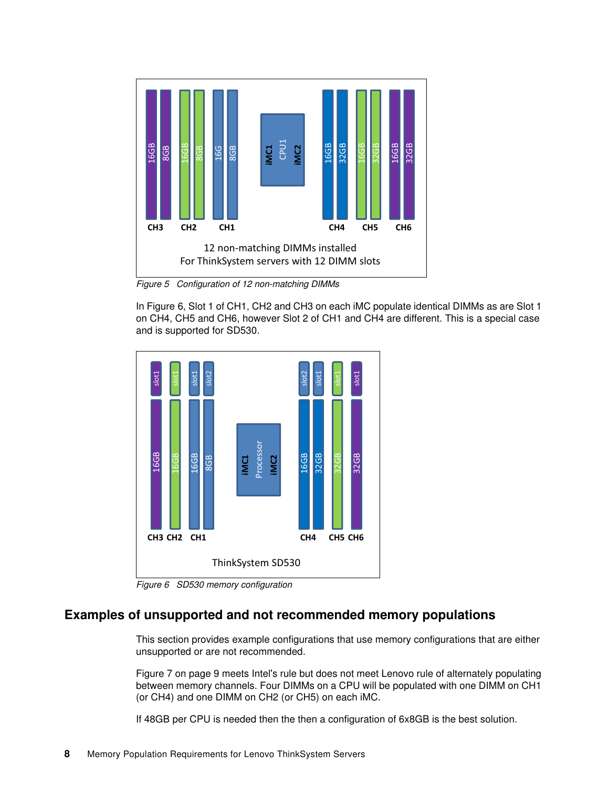

<span id="page-7-0"></span>*Figure 5 Configuration of 12 non-matching DIMMs*

In [Figure 6](#page-7-1), Slot 1 of CH1, CH2 and CH3 on each iMC populate identical DIMMs as are Slot 1 on CH4, CH5 and CH6, however Slot 2 of CH1 and CH4 are different. This is a special case and is supported for SD530.



<span id="page-7-1"></span>*Figure 6 SD530 memory configuration*

#### **Examples of unsupported and not recommended memory populations**

This section provides example configurations that use memory configurations that are either unsupported or are not recommended.

[Figure 7 on page 9](#page-8-0) meets Intel's rule but does not meet Lenovo rule of alternately populating between memory channels. Four DIMMs on a CPU will be populated with one DIMM on CH1 (or CH4) and one DIMM on CH2 (or CH5) on each iMC.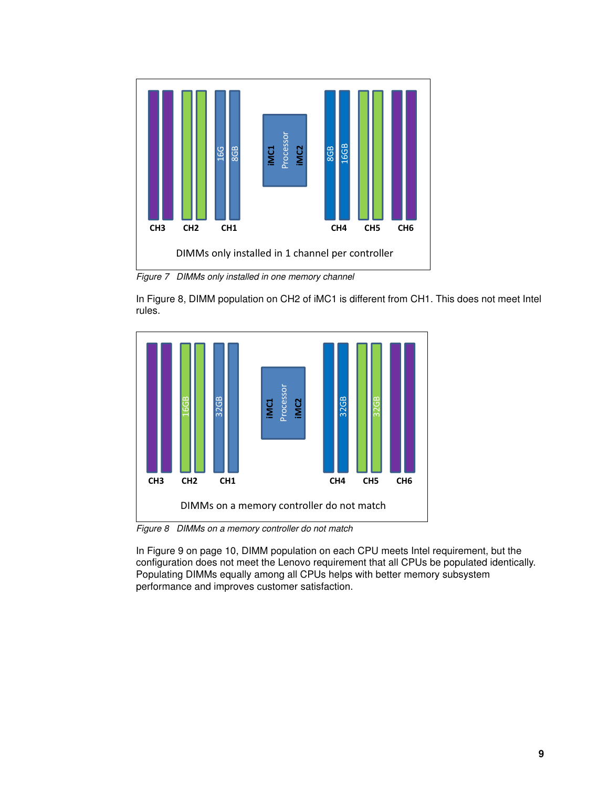

<span id="page-8-0"></span>*Figure 7 DIMMs only installed in one memory channel*

In [Figure 8](#page-8-1), DIMM population on CH2 of iMC1 is different from CH1. This does not meet Intel rules.



<span id="page-8-1"></span>In [Figure 9 on page 10](#page-9-1), DIMM population on each CPU meets Intel requirement, but the configuration does not meet the Lenovo requirement that all CPUs be populated identically. Populating DIMMs equally among all CPUs helps with better memory subsystem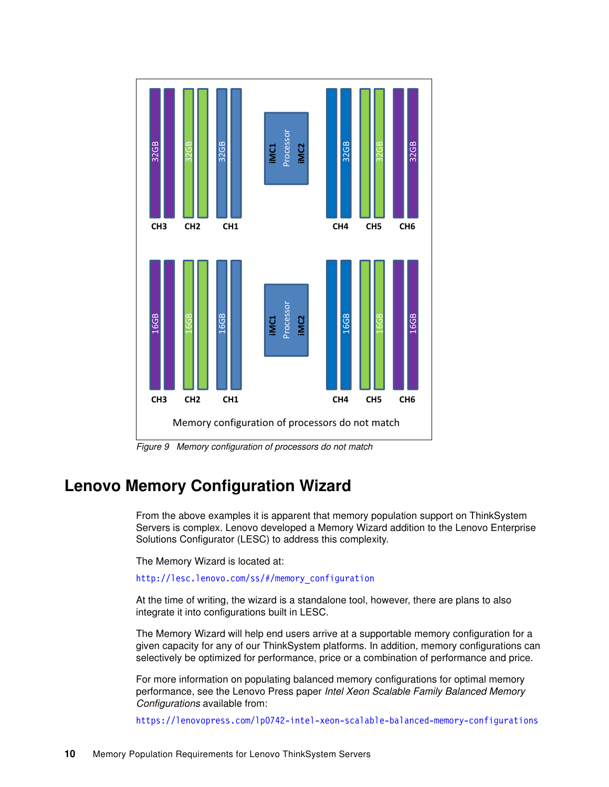

<span id="page-9-1"></span>*Figure 9 Memory configuration of processors do not match*

## <span id="page-9-0"></span>**Lenovo Memory Configuration Wizard**

From the above examples it is apparent that memory population support on ThinkSystem Servers is complex. Lenovo developed a Memory Wizard addition to the Lenovo Enterprise Solutions Configurator (LESC) to address this complexity.

The Memory Wizard is located at:

[http://lesc.lenovo.com/ss/#/memory\\_configuration](http://lesc.lenovo.com/ss/#/memory_configuration)

At the time of writing, the wizard is a standalone tool, however, there are plans to also integrate it into configurations built in LESC.

The Memory Wizard will help end users arrive at a supportable memory configuration for a given capacity for any of our ThinkSystem platforms. In addition, memory configurations can selectively be optimized for performance, price or a combination of performance and price.

For more information on populating balanced memory configurations for optimal memory performance, see the Lenovo Press paper *Intel Xeon Scalable Family Balanced Memory Configurations* available from: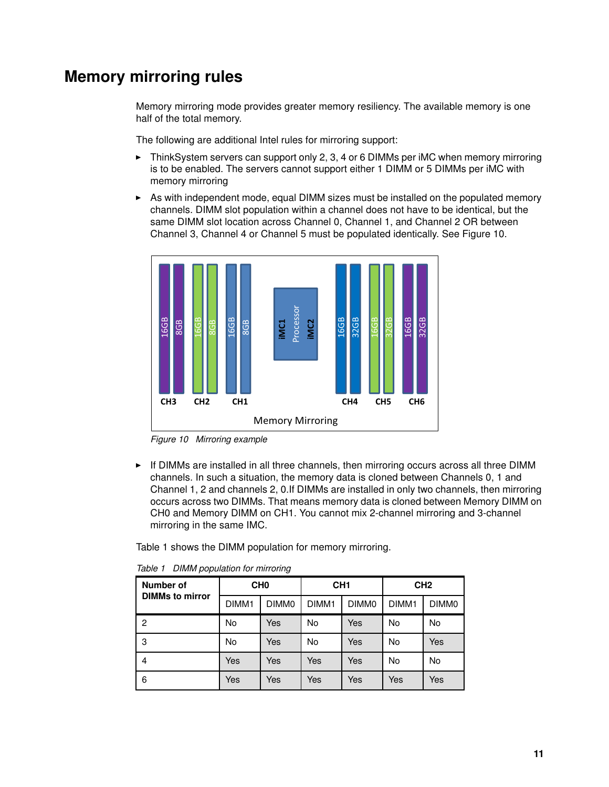# <span id="page-10-0"></span>**Memory mirroring rules**

Memory mirroring mode provides greater memory resiliency. The available memory is one half of the total memory.

The following are additional Intel rules for mirroring support:

- - ThinkSystem servers can support only 2, 3, 4 or 6 DIMMs per iMC when memory mirroring is to be enabled. The servers cannot support either 1 DIMM or 5 DIMMs per iMC with memory mirroring
- ► As with independent mode, equal DIMM sizes must be installed on the populated memory channels. DIMM slot population within a channel does not have to be identical, but the same DIMM slot location across Channel 0, Channel 1, and Channel 2 OR between Channel 3, Channel 4 or Channel 5 must be populated identically. See [Figure 10](#page-10-1).



<span id="page-10-1"></span>*Figure 10 Mirroring example*

- If DIMMs are installed in all three channels, then mirroring occurs across all three DIMM channels. In such a situation, the memory data is cloned between Channels 0, 1 and Channel 1, 2 and channels 2, 0.If DIMMs are installed in only two channels, then mirroring occurs across two DIMMs. That means memory data is cloned between Memory DIMM on CH0 and Memory DIMM on CH1. You cannot mix 2-channel mirroring and 3-channel mirroring in the same IMC.

[Table 1](#page-10-2) shows the DIMM population for memory mirroring.

| <b>Number of</b><br><b>DIMMs to mirror</b> | CH <sub>0</sub>   |            | CH <sub>1</sub>   |                   | CH <sub>2</sub>   |                   |
|--------------------------------------------|-------------------|------------|-------------------|-------------------|-------------------|-------------------|
|                                            | DIMM <sub>1</sub> | DIMM0      | DIMM <sub>1</sub> | DIMM <sub>0</sub> | DIMM <sub>1</sub> | DIMM <sub>0</sub> |
| $\overline{c}$                             | No                | <b>Yes</b> | No                | Yes               | No                | No                |
| 3                                          | No                | Yes        | No                | Yes               | No                | Yes               |
| 4                                          | Yes               | <b>Yes</b> | Yes               | Yes               | No                | No                |
| 6                                          | Yes               | Yes        | Yes               | Yes               | Yes               | Yes               |

<span id="page-10-2"></span>*Table 1 DIMM population for mirroring*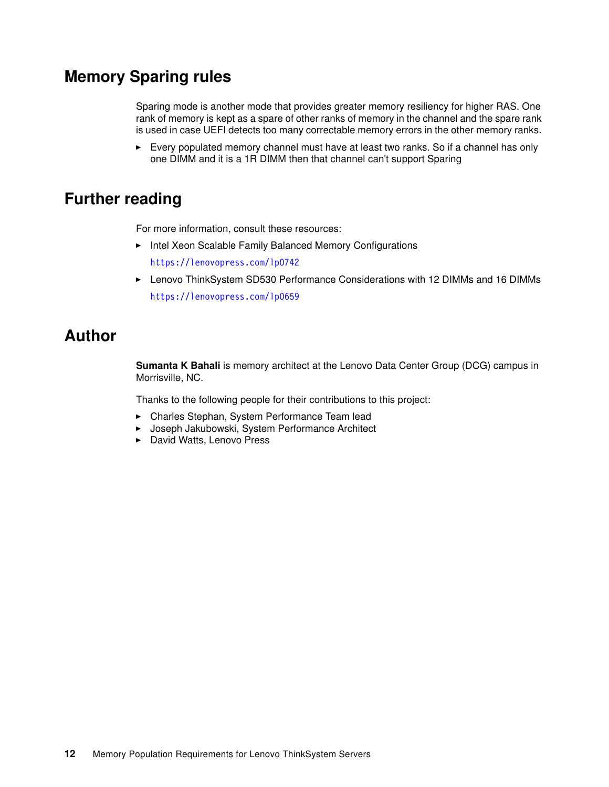# <span id="page-11-0"></span>**Memory Sparing rules**

Sparing mode is another mode that provides greater memory resiliency for higher RAS. One rank of memory is kept as a spare of other ranks of memory in the channel and the spare rank is used in case UEFI detects too many correctable memory errors in the other memory ranks.

► Every populated memory channel must have at least two ranks. So if a channel has only one DIMM and it is a 1R DIMM then that channel can't support Sparing

# <span id="page-11-1"></span>**Further reading**

For more information, consult these resources:

- Intel Xeon Scalable Family Balanced Memory Configurations <https://lenovopress.com/lp0742>
- ► Lenovo ThinkSystem SD530 Performance Considerations with 12 DIMMs and 16 DIMMs <https://lenovopress.com/lp0659>

# <span id="page-11-2"></span>**Author**

**Sumanta K Bahali** is memory architect at the Lenovo Data Center Group (DCG) campus in Morrisville, NC.

Thanks to the following people for their contributions to this project:

- Charles Stephan, System Performance Team lead
- -Joseph Jakubowski, System Performance Architect
- David Watts, Lenovo Press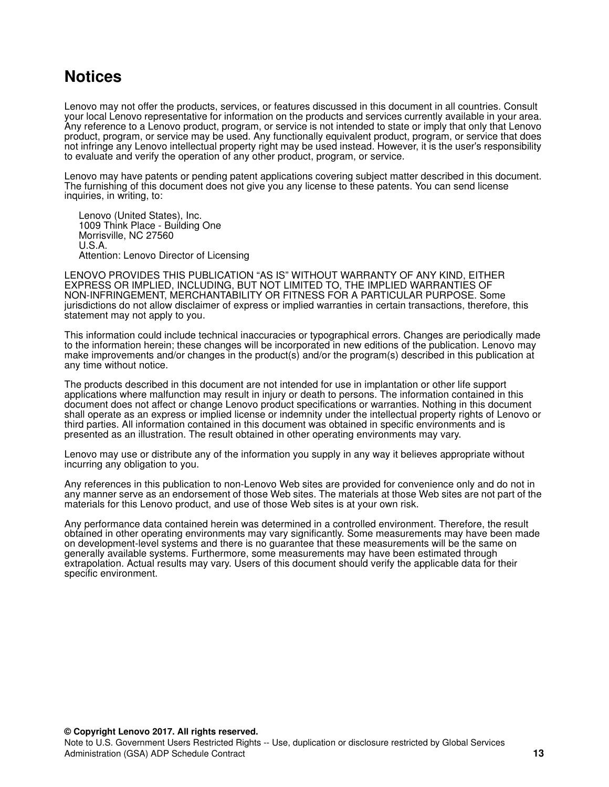# <span id="page-12-0"></span>**Notices**

Lenovo may not offer the products, services, or features discussed in this document in all countries. Consult your local Lenovo representative for information on the products and services currently available in your area. Any reference to a Lenovo product, program, or service is not intended to state or imply that only that Lenovo product, program, or service may be used. Any functionally equivalent product, program, or service that does not infringe any Lenovo intellectual property right may be used instead. However, it is the user's responsibility to evaluate and verify the operation of any other product, program, or service.

Lenovo may have patents or pending patent applications covering subject matter described in this document. The furnishing of this document does not give you any license to these patents. You can send license inquiries, in writing, to:

Lenovo (United States), Inc. 1009 Think Place - Building One Morrisville, NC 27560 U.S.A. Attention: Lenovo Director of Licensing

LENOVO PROVIDES THIS PUBLICATION "AS IS" WITHOUT WARRANTY OF ANY KIND, EITHER EXPRESS OR IMPLIED, INCLUDING, BUT NOT LIMITED TO, THE IMPLIED WARRANTIES OF NON-INFRINGEMENT, MERCHANTABILITY OR FITNESS FOR A PARTICULAR PURPOSE. Some jurisdictions do not allow disclaimer of express or implied warranties in certain transactions, therefore, this statement may not apply to you.

This information could include technical inaccuracies or typographical errors. Changes are periodically made to the information herein; these changes will be incorporated in new editions of the publication. Lenovo may make improvements and/or changes in the product(s) and/or the program(s) described in this publication at any time without notice.

The products described in this document are not intended for use in implantation or other life support applications where malfunction may result in injury or death to persons. The information contained in this document does not affect or change Lenovo product specifications or warranties. Nothing in this document shall operate as an express or implied license or indemnity under the intellectual property rights of Lenovo or third parties. All information contained in this document was obtained in specific environments and is presented as an illustration. The result obtained in other operating environments may vary.

Lenovo may use or distribute any of the information you supply in any way it believes appropriate without incurring any obligation to you.

Any references in this publication to non-Lenovo Web sites are provided for convenience only and do not in any manner serve as an endorsement of those Web sites. The materials at those Web sites are not part of the materials for this Lenovo product, and use of those Web sites is at your own risk.

Any performance data contained herein was determined in a controlled environment. Therefore, the result obtained in other operating environments may vary significantly. Some measurements may have been made on development-level systems and there is no guarantee that these measurements will be the same on generally available systems. Furthermore, some measurements may have been estimated through extrapolation. Actual results may vary. Users of this document should verify the applicable data for their specific environment.